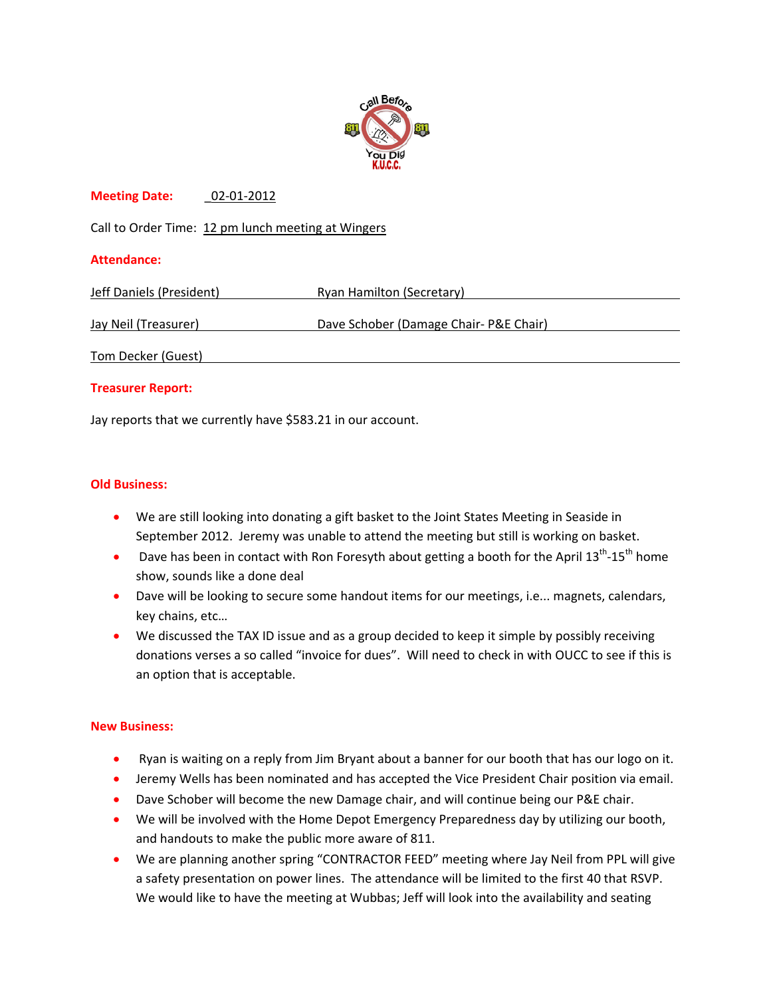

# **Meeting Date:** \_02‐01‐2012

Call to Order Time: 12 pm lunch meeting at Wingers

# **Attendance:**

| Jeff Daniels (President) | Ryan Hamilton (Secretary)              |
|--------------------------|----------------------------------------|
|                          |                                        |
| Jay Neil (Treasurer)     | Dave Schober (Damage Chair- P&E Chair) |
| Tom Decker (Guest)       |                                        |

#### **Treasurer Report:**

Jay reports that we currently have \$583.21 in our account.

# **Old Business:**

- We are still looking into donating a gift basket to the Joint States Meeting in Seaside in September 2012. Jeremy was unable to attend the meeting but still is working on basket.
- Dave has been in contact with Ron Foresyth about getting a booth for the April  $13^{th}$ - $15^{th}$  home show, sounds like a done deal
- Dave will be looking to secure some handout items for our meetings, i.e... magnets, calendars, key chains, etc…
- We discussed the TAX ID issue and as a group decided to keep it simple by possibly receiving donations verses a so called "invoice for dues". Will need to check in with OUCC to see if this is an option that is acceptable.

#### **New Business:**

- Ryan is waiting on a reply from Jim Bryant about a banner for our booth that has our logo on it.
- Jeremy Wells has been nominated and has accepted the Vice President Chair position via email.
- Dave Schober will become the new Damage chair, and will continue being our P&E chair.
- We will be involved with the Home Depot Emergency Preparedness day by utilizing our booth, and handouts to make the public more aware of 811.
- We are planning another spring "CONTRACTOR FEED" meeting where Jay Neil from PPL will give a safety presentation on power lines. The attendance will be limited to the first 40 that RSVP. We would like to have the meeting at Wubbas; Jeff will look into the availability and seating